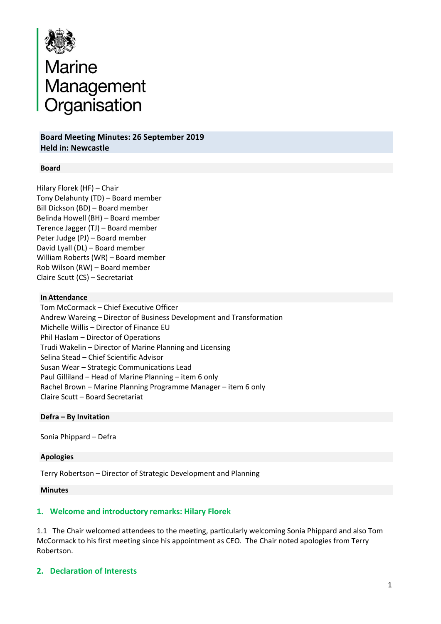

# Marine<br>Management<br>Organisation

**Board Meeting Minutes: 26 September 2019 Held in: Newcastle**

#### **Board**

Hilary Florek (HF) – Chair Tony Delahunty (TD) – Board member Bill Dickson (BD) – Board member Belinda Howell (BH) – Board member Terence Jagger (TJ) – Board member Peter Judge (PJ) – Board member David Lyall (DL) – Board member William Roberts (WR) – Board member Rob Wilson (RW) – Board member Claire Scutt (CS) – Secretariat

#### **In Attendance**

 Tom McCormack – Chief Executive Officer Andrew Wareing – Director of Business Development and Transformation Michelle Willis – Director of Finance EU Phil Haslam – Director of Operations Trudi Wakelin – Director of Marine Planning and Licensing Selina Stead – Chief Scientific Advisor Susan Wear – Strategic Communications Lead Paul Gilliland – Head of Marine Planning – item 6 only Rachel Brown – Marine Planning Programme Manager – item 6 only Claire Scutt – Board Secretariat

#### **Defra – By Invitation**

Sonia Phippard – Defra

#### **Apologies**

Terry Robertson – Director of Strategic Development and Planning

#### **Minutes**

## **1. Welcome and introductory remarks: Hilary Florek**

1.1 The Chair welcomed attendees to the meeting, particularly welcoming Sonia Phippard and also Tom McCormack to his first meeting since his appointment as CEO. The Chair noted apologies from Terry Robertson.

## **2. Declaration of Interests**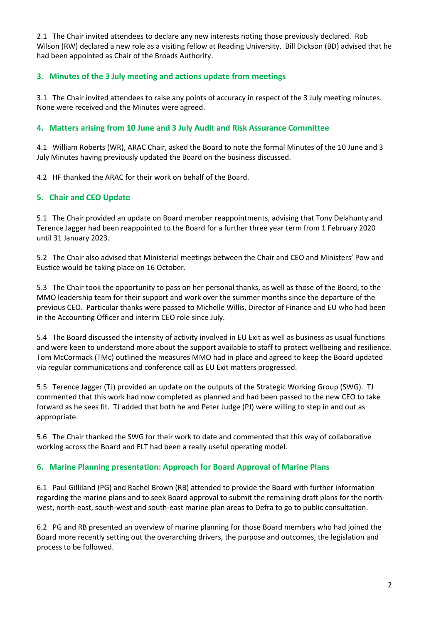2.1 The Chair invited attendees to declare any new interests noting those previously declared. Rob Wilson (RW) declared a new role as a visiting fellow at Reading University. Bill Dickson (BD) advised that he had been appointed as Chair of the Broads Authority.

# **3. Minutes of the 3 July meeting and actions update from meetings**

3.1 The Chair invited attendees to raise any points of accuracy in respect of the 3 July meeting minutes. None were received and the Minutes were agreed.

# **4. Matters arising from 10 June and 3 July Audit and Risk Assurance Committee**

4.1 William Roberts (WR), ARAC Chair, asked the Board to note the formal Minutes of the 10 June and 3 July Minutes having previously updated the Board on the business discussed.

4.2 HF thanked the ARAC for their work on behalf of the Board.

# **5. Chair and CEO Update**

5.1 The Chair provided an update on Board member reappointments, advising that Tony Delahunty and Terence Jagger had been reappointed to the Board for a further three year term from 1 February 2020 until 31 January 2023.

5.2 The Chair also advised that Ministerial meetings between the Chair and CEO and Ministers' Pow and Eustice would be taking place on 16 October.

5.3 The Chair took the opportunity to pass on her personal thanks, as well as those of the Board, to the MMO leadership team for their support and work over the summer months since the departure of the previous CEO. Particular thanks were passed to Michelle Willis, Director of Finance and EU who had been in the Accounting Officer and interim CEO role since July.

5.4 The Board discussed the intensity of activity involved in EU Exit as well as business as usual functions and were keen to understand more about the support available to staff to protect wellbeing and resilience. Tom McCormack (TMc) outlined the measures MMO had in place and agreed to keep the Board updated via regular communications and conference call as EU Exit matters progressed.

5.5 Terence Jagger (TJ) provided an update on the outputs of the Strategic Working Group (SWG). TJ commented that this work had now completed as planned and had been passed to the new CEO to take forward as he sees fit. TJ added that both he and Peter Judge (PJ) were willing to step in and out as appropriate.

5.6 The Chair thanked the SWG for their work to date and commented that this way of collaborative working across the Board and ELT had been a really useful operating model.

## **6. Marine Planning presentation: Approach for Board Approval of Marine Plans**

6.1 Paul Gilliland (PG) and Rachel Brown (RB) attended to provide the Board with further information regarding the marine plans and to seek Board approval to submit the remaining draft plans for the northwest, north-east, south-west and south-east marine plan areas to Defra to go to public consultation.

6.2 PG and RB presented an overview of marine planning for those Board members who had joined the Board more recently setting out the overarching drivers, the purpose and outcomes, the legislation and process to be followed.